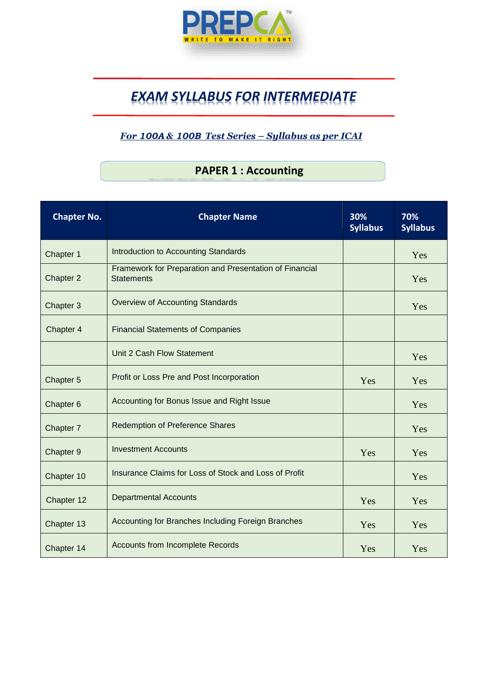

# *EXAM SYLLABUS FOR INTERMEDIATE*

#### *For 100A & 100B Test Series – Syllabus as per ICAI*

### **PAPER 1 : Accounting**

| <b>Chapter No.</b> | <b>Chapter Name</b>                                                          | 30%<br><b>Syllabus</b> | 70%<br><b>Syllabus</b> |
|--------------------|------------------------------------------------------------------------------|------------------------|------------------------|
| Chapter 1          | Introduction to Accounting Standards                                         |                        | Yes                    |
| Chapter 2          | Framework for Preparation and Presentation of Financial<br><b>Statements</b> |                        | Yes                    |
| Chapter 3          | <b>Overview of Accounting Standards</b>                                      |                        | Yes                    |
| Chapter 4          | <b>Financial Statements of Companies</b>                                     |                        |                        |
|                    | Unit 2 Cash Flow Statement                                                   |                        | Yes                    |
| Chapter 5          | Profit or Loss Pre and Post Incorporation                                    | Yes                    | Yes                    |
| Chapter 6          | Accounting for Bonus Issue and Right Issue                                   |                        | Yes                    |
| Chapter 7          | <b>Redemption of Preference Shares</b>                                       |                        | Yes                    |
| Chapter 9          | <b>Investment Accounts</b>                                                   | Yes                    | Yes                    |
| Chapter 10         | Insurance Claims for Loss of Stock and Loss of Profit                        |                        | Yes                    |
| Chapter 12         | <b>Departmental Accounts</b>                                                 | Yes                    | Yes                    |
| Chapter 13         | Accounting for Branches Including Foreign Branches                           | Yes                    | Yes                    |
| Chapter 14         | <b>Accounts from Incomplete Records</b>                                      | Yes                    | Yes                    |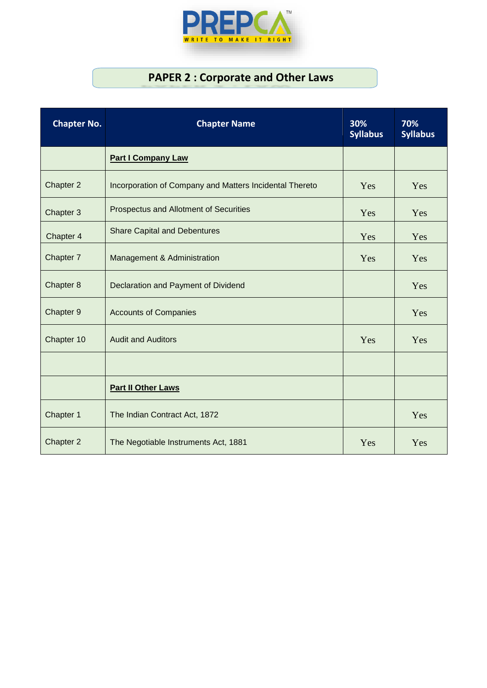

### **PAPER 2 : Corporate and Other Laws**

| <b>Chapter No.</b> | <b>Chapter Name</b>                                     | 30%<br><b>Syllabus</b> | 70%<br><b>Syllabus</b> |
|--------------------|---------------------------------------------------------|------------------------|------------------------|
|                    | <b>Part I Company Law</b>                               |                        |                        |
| Chapter 2          | Incorporation of Company and Matters Incidental Thereto | Yes                    | Yes                    |
| Chapter 3          | Prospectus and Allotment of Securities                  | Yes                    | Yes                    |
| Chapter 4          | <b>Share Capital and Debentures</b>                     | Yes                    | Yes                    |
| Chapter 7          | Management & Administration                             | Yes                    | Yes                    |
| Chapter 8          | Declaration and Payment of Dividend                     |                        | Yes                    |
| Chapter 9          | <b>Accounts of Companies</b>                            |                        | Yes                    |
| Chapter 10         | <b>Audit and Auditors</b>                               | Yes                    | Yes                    |
|                    |                                                         |                        |                        |
|                    | <b>Part II Other Laws</b>                               |                        |                        |
| Chapter 1          | The Indian Contract Act, 1872                           |                        | Yes                    |
| Chapter 2          | The Negotiable Instruments Act, 1881                    | Yes                    | Yes                    |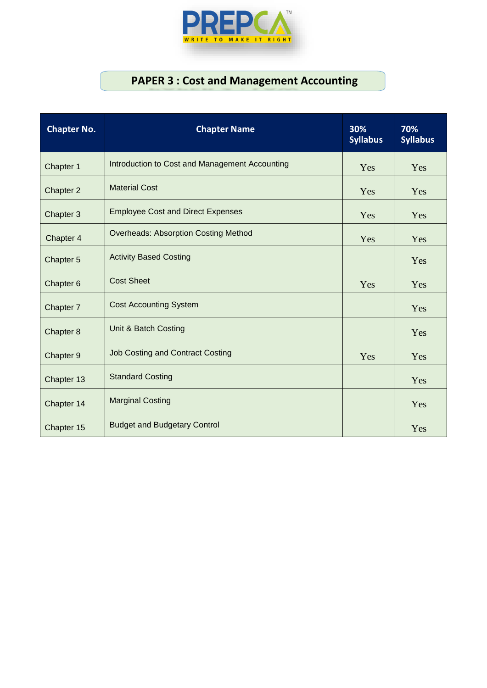

## **PAPER 3 : Cost and Management Accounting**

| <b>Chapter No.</b>   | <b>Chapter Name</b>                            | 30%<br><b>Syllabus</b> | 70%<br><b>Syllabus</b> |
|----------------------|------------------------------------------------|------------------------|------------------------|
| Chapter 1            | Introduction to Cost and Management Accounting | Yes                    | Yes                    |
| Chapter 2            | <b>Material Cost</b>                           | Yes                    | Yes                    |
| Chapter 3            | <b>Employee Cost and Direct Expenses</b>       | Yes                    | Yes                    |
| Chapter 4            | <b>Overheads: Absorption Costing Method</b>    | Yes                    | Yes                    |
| Chapter 5            | <b>Activity Based Costing</b>                  |                        | Yes                    |
| Chapter <sub>6</sub> | <b>Cost Sheet</b>                              | Yes                    | Yes                    |
| Chapter 7            | <b>Cost Accounting System</b>                  |                        | Yes                    |
| Chapter 8            | Unit & Batch Costing                           |                        | Yes                    |
| Chapter 9            | <b>Job Costing and Contract Costing</b>        | Yes                    | Yes                    |
| Chapter 13           | <b>Standard Costing</b>                        |                        | Yes                    |
| Chapter 14           | <b>Marginal Costing</b>                        |                        | Yes                    |
| Chapter 15           | <b>Budget and Budgetary Control</b>            |                        | Yes                    |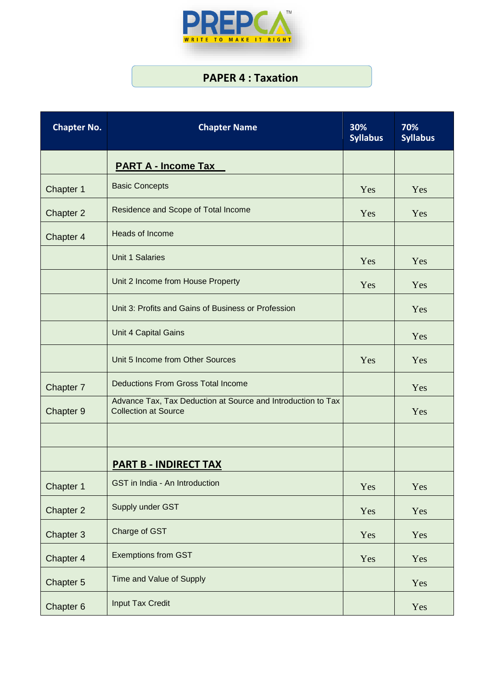

### **PAPER 4 : Taxation**

| <b>Chapter No.</b> | <b>Chapter Name</b>                                                                         | 30%<br><b>Syllabus</b> | 70%<br><b>Syllabus</b> |
|--------------------|---------------------------------------------------------------------------------------------|------------------------|------------------------|
|                    | <b>PART A - Income Tax</b>                                                                  |                        |                        |
| Chapter 1          | <b>Basic Concepts</b>                                                                       | Yes                    | Yes                    |
| <b>Chapter 2</b>   | Residence and Scope of Total Income                                                         | Yes                    | Yes                    |
| Chapter 4          | Heads of Income                                                                             |                        |                        |
|                    | <b>Unit 1 Salaries</b>                                                                      | Yes                    | Yes                    |
|                    | Unit 2 Income from House Property                                                           | Yes                    | Yes                    |
|                    | Unit 3: Profits and Gains of Business or Profession                                         |                        | Yes                    |
|                    | Unit 4 Capital Gains                                                                        |                        | Yes                    |
|                    | Unit 5 Income from Other Sources                                                            | Yes                    | Yes                    |
| Chapter 7          | <b>Deductions From Gross Total Income</b>                                                   |                        | Yes                    |
| Chapter 9          | Advance Tax, Tax Deduction at Source and Introduction to Tax<br><b>Collection at Source</b> |                        | Yes                    |
|                    |                                                                                             |                        |                        |
|                    | <b>PART B - INDIRECT TAX</b>                                                                |                        |                        |
| Chapter 1          | GST in India - An Introduction                                                              | Yes                    | Yes                    |
| Chapter 2          | Supply under GST                                                                            | Yes                    | Yes                    |
| Chapter 3          | Charge of GST                                                                               | Yes                    | Yes                    |
| Chapter 4          | <b>Exemptions from GST</b>                                                                  | Yes                    | Yes                    |
| Chapter 5          | Time and Value of Supply                                                                    |                        | Yes                    |
| Chapter 6          | <b>Input Tax Credit</b>                                                                     |                        | Yes                    |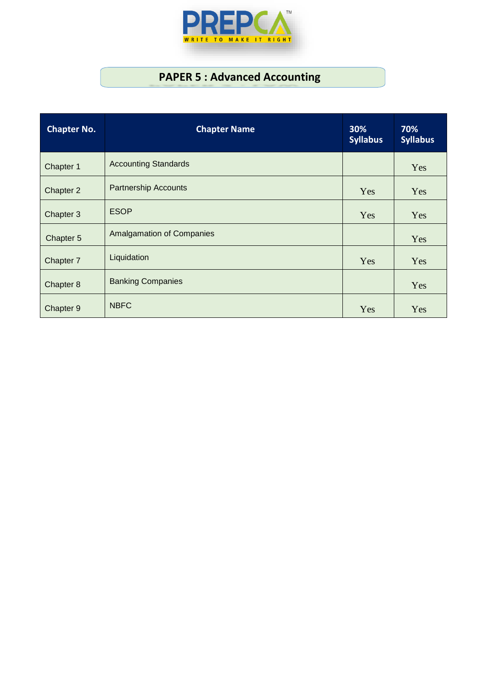

### **PAPER 5 : Advanced Accounting**

| <b>Chapter No.</b> | <b>Chapter Name</b>              | 30%<br><b>Syllabus</b> | 70%<br><b>Syllabus</b> |
|--------------------|----------------------------------|------------------------|------------------------|
| Chapter 1          | <b>Accounting Standards</b>      |                        | Yes                    |
| Chapter 2          | <b>Partnership Accounts</b>      | Yes                    | Yes                    |
| Chapter 3          | <b>ESOP</b>                      | Yes                    | Yes                    |
| Chapter 5          | <b>Amalgamation of Companies</b> |                        | Yes                    |
| Chapter 7          | Liquidation                      | Yes                    | Yes                    |
| Chapter 8          | <b>Banking Companies</b>         |                        | Yes                    |
| Chapter 9          | <b>NBFC</b>                      | Yes                    | Yes                    |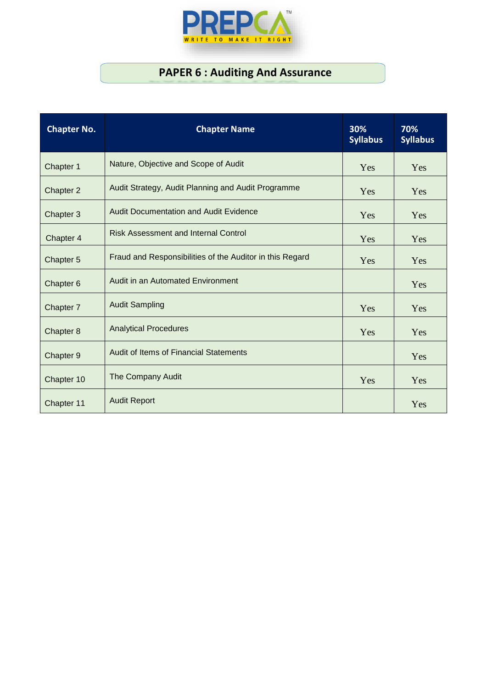

## **PAPER 6 : Auditing And Assurance**

| <b>Chapter No.</b> | <b>Chapter Name</b>                                      | 30%<br><b>Syllabus</b> | 70%<br><b>Syllabus</b> |
|--------------------|----------------------------------------------------------|------------------------|------------------------|
| Chapter 1          | Nature, Objective and Scope of Audit                     | Yes                    | Yes                    |
| Chapter 2          | Audit Strategy, Audit Planning and Audit Programme       | Yes                    | Yes                    |
| Chapter 3          | <b>Audit Documentation and Audit Evidence</b>            | Yes                    | Yes                    |
| Chapter 4          | <b>Risk Assessment and Internal Control</b>              | Yes                    | Yes                    |
| Chapter 5          | Fraud and Responsibilities of the Auditor in this Regard | Yes                    | Yes                    |
| Chapter 6          | Audit in an Automated Environment                        |                        | Yes                    |
| Chapter 7          | <b>Audit Sampling</b>                                    | Yes                    | Yes                    |
| Chapter 8          | <b>Analytical Procedures</b>                             | Yes                    | Yes                    |
| Chapter 9          | Audit of Items of Financial Statements                   |                        | Yes                    |
| Chapter 10         | The Company Audit                                        | Yes                    | Yes                    |
| Chapter 11         | <b>Audit Report</b>                                      |                        | Yes                    |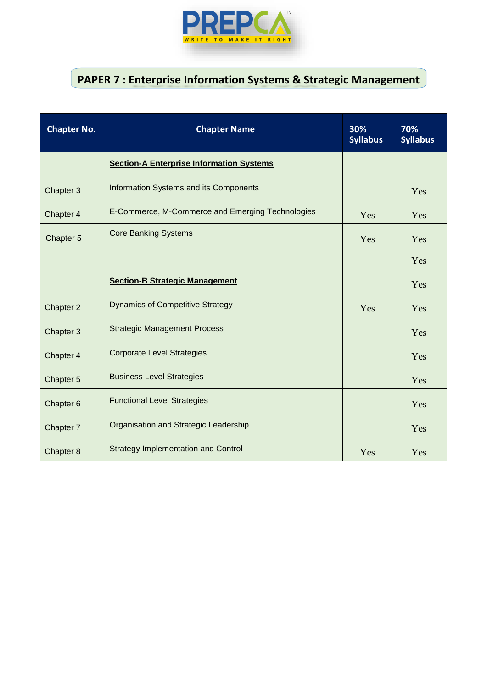

### **PAPER 7 : Enterprise Information Systems & Strategic Management**

| <b>Chapter No.</b> | <b>Chapter Name</b>                              | 30%<br><b>Syllabus</b> | 70%<br><b>Syllabus</b> |
|--------------------|--------------------------------------------------|------------------------|------------------------|
|                    | <b>Section-A Enterprise Information Systems</b>  |                        |                        |
| Chapter 3          | Information Systems and its Components           |                        | Yes                    |
| Chapter 4          | E-Commerce, M-Commerce and Emerging Technologies | Yes                    | Yes                    |
| Chapter 5          | <b>Core Banking Systems</b>                      | Yes                    | Yes                    |
|                    |                                                  |                        | Yes                    |
|                    | <b>Section-B Strategic Management</b>            |                        | Yes                    |
| Chapter 2          | <b>Dynamics of Competitive Strategy</b>          | Yes                    | Yes                    |
| Chapter 3          | <b>Strategic Management Process</b>              |                        | Yes                    |
| Chapter 4          | <b>Corporate Level Strategies</b>                |                        | Yes                    |
| Chapter 5          | <b>Business Level Strategies</b>                 |                        | Yes                    |
| Chapter 6          | <b>Functional Level Strategies</b>               |                        | Yes                    |
| Chapter 7          | Organisation and Strategic Leadership            |                        | Yes                    |
| Chapter 8          | <b>Strategy Implementation and Control</b>       | Yes                    | Yes                    |